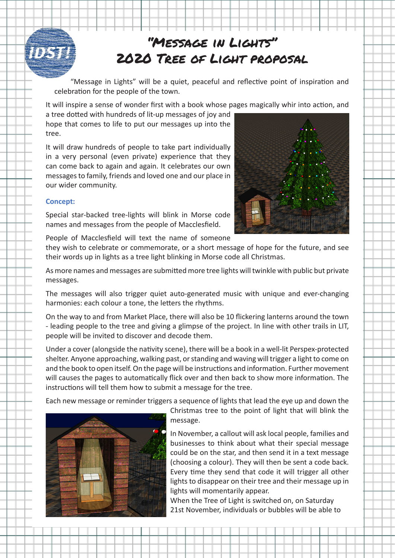

# "Message in Lights" 2020 Tree of Light proposal

 "Message in Lights" will be a quiet, peaceful and reflective point of inspiration and celebration for the people of the town.

It will inspire a sense of wonder first with a book whose pages magically whir into action, and

a tree dotted with hundreds of lit-up messages of joy and hope that comes to life to put our messages up into the tree.

It will draw hundreds of people to take part individually in a very personal (even private) experience that they can come back to again and again. It celebrates our own messages to family, friends and loved one and our place in our wider community.

### **Concept:**

Special star-backed tree-lights will blink in Morse code names and messages from the people of Macclesfield.



People of Macclesfield will text the name of someone

they wish to celebrate or commemorate, or a short message of hope for the future, and see their words up in lights as a tree light blinking in Morse code all Christmas.

As more names and messages are submitted more tree lights will twinkle with public but private messages.

The messages will also trigger quiet auto-generated music with unique and ever-changing harmonies: each colour a tone, the letters the rhythms.

On the way to and from Market Place, there will also be 10 flickering lanterns around the town - leading people to the tree and giving a glimpse of the project. In line with other trails in LIT, people will be invited to discover and decode them.

Under a cover (alongside the nativity scene), there will be a book in a well-lit Perspex-protected shelter. Anyone approaching, walking past, or standing and waving will trigger a light to come on and the book to open itself. On the page will be instructions and information. Further movement will causes the pages to automatically flick over and then back to show more information. The instructions will tell them how to submit a message for the tree.

Each new message or reminder triggers a sequence of lights that lead the eye up and down the



Christmas tree to the point of light that will blink the message.

In November, a callout will ask local people, families and businesses to think about what their special message could be on the star, and then send it in a text message (choosing a colour). They will then be sent a code back. Every time they send that code it will trigger all other lights to disappear on their tree and their message up in lights will momentarily appear.

When the Tree of Light is switched on, on Saturday 21st November, individuals or bubbles will be able to